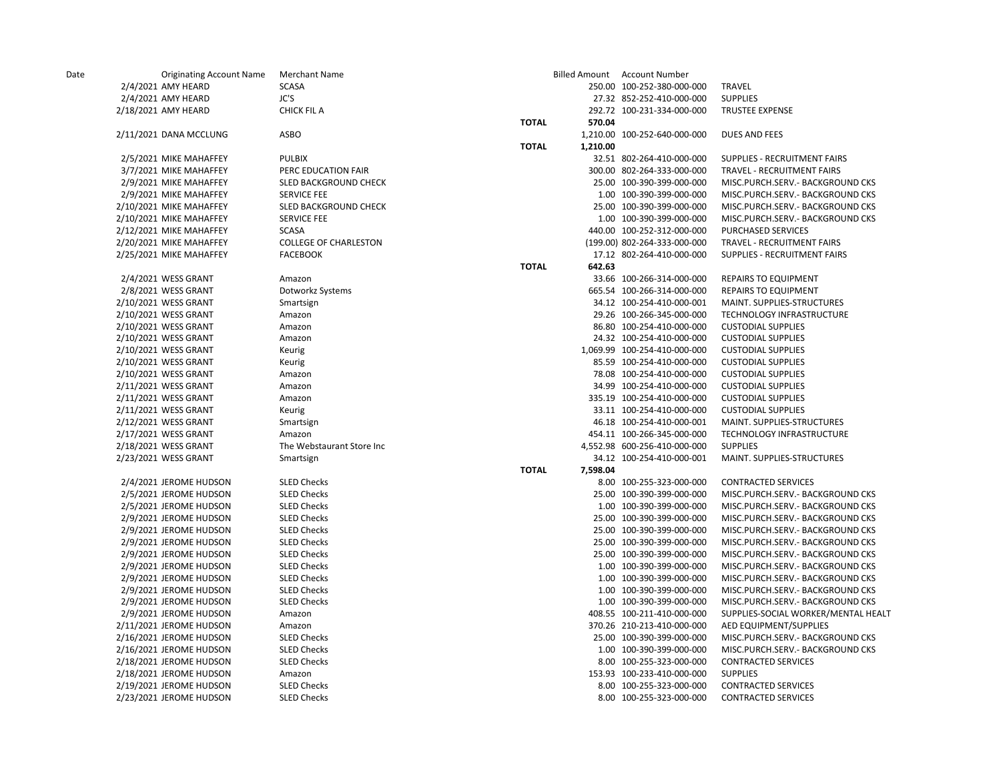| Date | <b>Originating Account Name</b> | <b>Merchant Name</b>         |              |          | Billed Amount Account Number |                                     |
|------|---------------------------------|------------------------------|--------------|----------|------------------------------|-------------------------------------|
|      | 2/4/2021 AMY HEARD              | <b>SCASA</b>                 |              |          | 250.00 100-252-380-000-000   | <b>TRAVEL</b>                       |
|      | 2/4/2021 AMY HEARD              | JC'S                         |              |          | 27.32 852-252-410-000-000    | <b>SUPPLIES</b>                     |
|      | 2/18/2021 AMY HEARD             | <b>CHICK FIL A</b>           |              |          | 292.72 100-231-334-000-000   | <b>TRUSTEE EXPENSE</b>              |
|      |                                 |                              | <b>TOTAL</b> | 570.04   |                              |                                     |
|      | 2/11/2021 DANA MCCLUNG          | <b>ASBO</b>                  |              |          | 1,210.00 100-252-640-000-000 | <b>DUES AND FEES</b>                |
|      |                                 |                              | <b>TOTAL</b> | 1,210.00 |                              |                                     |
|      | 2/5/2021 MIKE MAHAFFEY          | <b>PULBIX</b>                |              |          | 32.51 802-264-410-000-000    | SUPPLIES - RECRUITMENT FAIRS        |
|      | 3/7/2021 MIKE MAHAFFEY          | PERC EDUCATION FAIR          |              |          | 300.00 802-264-333-000-000   | TRAVEL - RECRUITMENT FAIRS          |
|      | 2/9/2021 MIKE MAHAFFEY          | <b>SLED BACKGROUND CHECK</b> |              |          | 25.00 100-390-399-000-000    | MISC.PURCH.SERV.- BACKGROUND CKS    |
|      | 2/9/2021 MIKE MAHAFFEY          | <b>SERVICE FEE</b>           |              |          | 1.00 100-390-399-000-000     | MISC.PURCH.SERV.- BACKGROUND CKS    |
|      | 2/10/2021 MIKE MAHAFFEY         | <b>SLED BACKGROUND CHECK</b> |              |          | 25.00 100-390-399-000-000    | MISC.PURCH.SERV.- BACKGROUND CKS    |
|      | 2/10/2021 MIKE MAHAFFEY         | <b>SERVICE FEE</b>           |              |          | 1.00 100-390-399-000-000     | MISC.PURCH.SERV.- BACKGROUND CKS    |
|      | 2/12/2021 MIKE MAHAFFEY         | <b>SCASA</b>                 |              |          | 440.00 100-252-312-000-000   | <b>PURCHASED SERVICES</b>           |
|      | 2/20/2021 MIKE MAHAFFEY         | <b>COLLEGE OF CHARLESTON</b> |              |          | (199.00) 802-264-333-000-000 | TRAVEL - RECRUITMENT FAIRS          |
|      | 2/25/2021 MIKE MAHAFFEY         | <b>FACEBOOK</b>              |              |          | 17.12 802-264-410-000-000    | SUPPLIES - RECRUITMENT FAIRS        |
|      |                                 |                              | <b>TOTAL</b> | 642.63   |                              |                                     |
|      | 2/4/2021 WESS GRANT             | Amazon                       |              |          | 33.66 100-266-314-000-000    | <b>REPAIRS TO EQUIPMENT</b>         |
|      | 2/8/2021 WESS GRANT             | Dotworkz Systems             |              |          | 665.54 100-266-314-000-000   | <b>REPAIRS TO EQUIPMENT</b>         |
|      | 2/10/2021 WESS GRANT            | Smartsign                    |              |          | 34.12 100-254-410-000-001    | MAINT. SUPPLIES-STRUCTURES          |
|      | 2/10/2021 WESS GRANT            | Amazon                       |              |          | 29.26 100-266-345-000-000    | TECHNOLOGY INFRASTRUCTURE           |
|      | 2/10/2021 WESS GRANT            | Amazon                       |              |          | 86.80 100-254-410-000-000    | <b>CUSTODIAL SUPPLIES</b>           |
|      | 2/10/2021 WESS GRANT            | Amazon                       |              |          | 24.32 100-254-410-000-000    | <b>CUSTODIAL SUPPLIES</b>           |
|      | 2/10/2021 WESS GRANT            | Keurig                       |              |          | 1,069.99 100-254-410-000-000 | <b>CUSTODIAL SUPPLIES</b>           |
|      | 2/10/2021 WESS GRANT            | Keurig                       |              |          | 85.59 100-254-410-000-000    | <b>CUSTODIAL SUPPLIES</b>           |
|      | 2/10/2021 WESS GRANT            | Amazon                       |              |          | 78.08 100-254-410-000-000    | <b>CUSTODIAL SUPPLIES</b>           |
|      | 2/11/2021 WESS GRANT            | Amazon                       |              |          | 34.99 100-254-410-000-000    | <b>CUSTODIAL SUPPLIES</b>           |
|      | 2/11/2021 WESS GRANT            | Amazon                       |              |          | 335.19 100-254-410-000-000   | <b>CUSTODIAL SUPPLIES</b>           |
|      | 2/11/2021 WESS GRANT            | Keurig                       |              |          | 33.11 100-254-410-000-000    | <b>CUSTODIAL SUPPLIES</b>           |
|      | 2/12/2021 WESS GRANT            | Smartsign                    |              |          | 46.18 100-254-410-000-001    | <b>MAINT. SUPPLIES-STRUCTURES</b>   |
|      | 2/17/2021 WESS GRANT            | Amazon                       |              |          | 454.11 100-266-345-000-000   | TECHNOLOGY INFRASTRUCTURE           |
|      | 2/18/2021 WESS GRANT            | The Webstaurant Store Inc    |              |          | 4,552.98 600-256-410-000-000 | <b>SUPPLIES</b>                     |
|      | 2/23/2021 WESS GRANT            | Smartsign                    |              |          | 34.12 100-254-410-000-001    | MAINT. SUPPLIES-STRUCTURES          |
|      |                                 |                              | <b>TOTAL</b> | 7,598.04 |                              |                                     |
|      | 2/4/2021 JEROME HUDSON          | <b>SLED Checks</b>           |              |          | 8.00 100-255-323-000-000     | <b>CONTRACTED SERVICES</b>          |
|      | 2/5/2021 JEROME HUDSON          | <b>SLED Checks</b>           |              |          | 25.00 100-390-399-000-000    | MISC.PURCH.SERV.- BACKGROUND CKS    |
|      | 2/5/2021 JEROME HUDSON          | <b>SLED Checks</b>           |              |          | 1.00 100-390-399-000-000     | MISC.PURCH.SERV.- BACKGROUND CKS    |
|      | 2/9/2021 JEROME HUDSON          | <b>SLED Checks</b>           |              |          | 25.00 100-390-399-000-000    | MISC.PURCH.SERV.- BACKGROUND CKS    |
|      | 2/9/2021 JEROME HUDSON          | <b>SLED Checks</b>           |              |          | 25.00 100-390-399-000-000    | MISC.PURCH.SERV.- BACKGROUND CKS    |
|      | 2/9/2021 JEROME HUDSON          | <b>SLED Checks</b>           |              |          | 25.00 100-390-399-000-000    | MISC.PURCH.SERV.- BACKGROUND CKS    |
|      | 2/9/2021 JEROME HUDSON          | <b>SLED Checks</b>           |              |          | 25.00 100-390-399-000-000    | MISC.PURCH.SERV.- BACKGROUND CKS    |
|      | 2/9/2021 JEROME HUDSON          | <b>SLED Checks</b>           |              |          | 1.00 100-390-399-000-000     | MISC.PURCH.SERV.- BACKGROUND CKS    |
|      | 2/9/2021 JEROME HUDSON          | <b>SLED Checks</b>           |              |          | 1.00 100-390-399-000-000     | MISC.PURCH.SERV.- BACKGROUND CKS    |
|      | 2/9/2021 JEROME HUDSON          | <b>SLED Checks</b>           |              |          | 1.00 100-390-399-000-000     | MISC.PURCH.SERV.- BACKGROUND CKS    |
|      | 2/9/2021 JEROME HUDSON          | <b>SLED Checks</b>           |              |          | 1.00 100-390-399-000-000     | MISC.PURCH.SERV.- BACKGROUND CKS    |
|      | 2/9/2021 JEROME HUDSON          | Amazon                       |              |          | 408.55 100-211-410-000-000   | SUPPLIES-SOCIAL WORKER/MENTAL HEALT |
|      | 2/11/2021 JEROME HUDSON         | Amazon                       |              |          | 370.26 210-213-410-000-000   | AED EQUIPMENT/SUPPLIES              |
|      | 2/16/2021 JEROME HUDSON         | <b>SLED Checks</b>           |              |          | 25.00 100-390-399-000-000    | MISC.PURCH.SERV.- BACKGROUND CKS    |
|      | 2/16/2021 JEROME HUDSON         | <b>SLED Checks</b>           |              |          | 1.00 100-390-399-000-000     | MISC.PURCH.SERV.- BACKGROUND CKS    |
|      | 2/18/2021 JEROME HUDSON         | <b>SLED Checks</b>           |              |          | 8.00 100-255-323-000-000     | <b>CONTRACTED SERVICES</b>          |
|      | 2/18/2021 JEROME HUDSON         | Amazon                       |              |          | 153.93 100-233-410-000-000   | <b>SUPPLIES</b>                     |
|      | 2/19/2021 JEROME HUDSON         | <b>SLED Checks</b>           |              |          | 8.00 100-255-323-000-000     | <b>CONTRACTED SERVICES</b>          |
|      | 2/23/2021 JEROME HUDSON         | <b>SLED Checks</b>           |              |          | 8.00 100-255-323-000-000     | <b>CONTRACTED SERVICES</b>          |
|      |                                 |                              |              |          |                              |                                     |